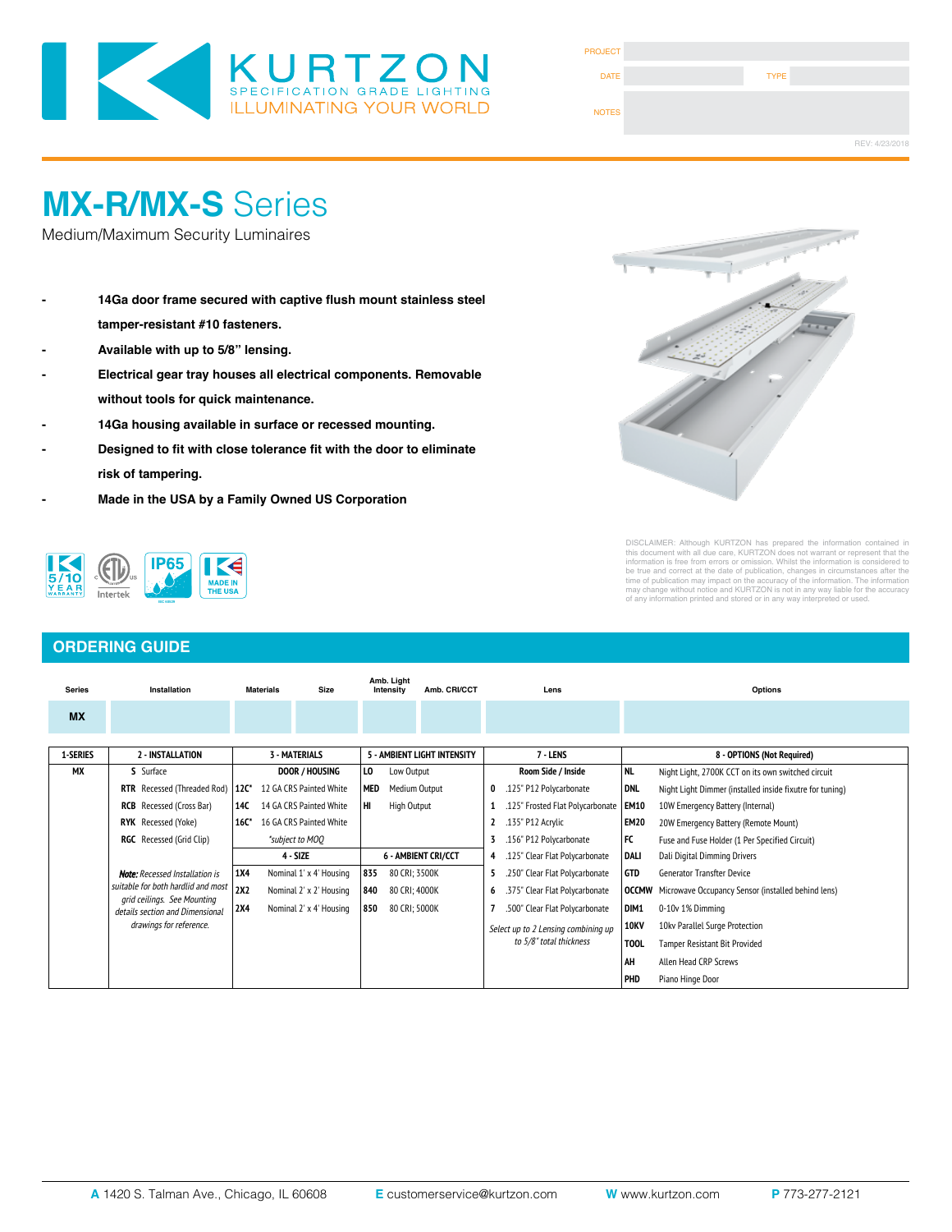

| <b>PROJECT</b> |             |                |
|----------------|-------------|----------------|
| <b>DATE</b>    | <b>TYPE</b> |                |
| <b>NOTES</b>   |             |                |
|                |             | REV: 4/23/2018 |

## **MX-R/MX-S** Series

Medium/Maximum Security Luminaires

- **- 14Ga door frame secured with captive flush mount stainless steel tamper-resistant #10 fasteners.**
- **- Available with up to 5/8" lensing.**
- **- Electrical gear tray houses all electrical components. Removable without tools for quick maintenance.**
- **- 14Ga housing available in surface or recessed mounting.**
- **- Designed to fit with close tolerance fit with the door to eliminate risk of tampering.**
- **- Made in the USA by a Family Owned US Corporation**



| <b>ORDERING GUIDE</b>         |                                                                  |                         |                                 |                             |                                         |               |                                |                         |                            |                                                          |             |                                                                 |  |
|-------------------------------|------------------------------------------------------------------|-------------------------|---------------------------------|-----------------------------|-----------------------------------------|---------------|--------------------------------|-------------------------|----------------------------|----------------------------------------------------------|-------------|-----------------------------------------------------------------|--|
| Installation<br><b>Series</b> |                                                                  |                         | <b>Materials</b><br><b>Size</b> |                             | Amb. Light<br>Amb. CRI/CCT<br>Intensity |               | Lens                           |                         |                            | Options                                                  |             |                                                                 |  |
| <b>MX</b>                     |                                                                  |                         |                                 |                             |                                         |               |                                |                         |                            |                                                          |             |                                                                 |  |
| <b>1-SERIES</b>               | 2 - INSTALLATION<br><b>3 - MATERIALS</b>                         |                         | 5 - AMBIENT LIGHT INTENSITY     |                             |                                         | 7 - LENS      |                                |                         | 8 - OPTIONS (Not Required) |                                                          |             |                                                                 |  |
| <b>MX</b>                     | S Surface                                                        | <b>DOOR / HOUSING</b>   |                                 | LO.<br>Low Output           |                                         |               |                                | Room Side / Inside      | NL                         | Night Light, 2700K CCT on its own switched circuit       |             |                                                                 |  |
|                               | RTR Recessed (Threaded Rod)   12C*                               | 12 GA CRS Painted White |                                 | <b>MED</b><br>Medium Output |                                         | 0             |                                | .125" P12 Polycarbonate | <b>DNL</b>                 | Night Light Dimmer (installed inside fixutre for tuning) |             |                                                                 |  |
|                               | <b>RCB</b> Recessed (Cross Bar)                                  | 14C                     | 14 GA CRS Painted White         |                             | HI                                      | High Output   |                                |                         |                            | .125" Frosted Flat Polycarbonate   EM10                  |             | 10W Emergency Battery (Internal)                                |  |
|                               | $16C^*$<br>16 GA CRS Painted White<br><b>RYK</b> Recessed (Yoke) |                         |                                 |                             |                                         |               | .135" P12 Acrylic<br>2         |                         | EM <sub>20</sub>           | 20W Emergency Battery (Remote Mount)                     |             |                                                                 |  |
|                               | <b>RGC</b> Recessed (Grid Clip)                                  |                         | *subject to MOO                 |                             |                                         |               | .156" P12 Polycarbonate<br>3   |                         | FC                         | Fuse and Fuse Holder (1 Per Specified Circuit)           |             |                                                                 |  |
|                               |                                                                  |                         | $4 - SIZE$                      |                             | <b>6 - AMBIENT CRI/CCT</b>              |               | .125" Clear Flat Polycarbonate |                         | DALI                       | Dali Digital Dimming Drivers                             |             |                                                                 |  |
|                               | <b>Note:</b> Recessed Installation is                            | <b>1X4</b>              |                                 | Nominal 1' x 4' Housing     | 835                                     | 80 CRI; 3500K |                                | 5                       |                            | .250" Clear Flat Polycarbonate                           | GTD         | <b>Generator Transfter Device</b>                               |  |
|                               | suitable for both hardlid and most                               | 2X2                     |                                 | Nominal 2' x 2' Housing     | 840                                     | 80 CRI; 4000K |                                | 6                       |                            | .375" Clear Flat Polycarbonate                           |             | <b>OCCMW</b> Microwave Occupancy Sensor (installed behind lens) |  |
|                               | grid ceilings. See Mounting<br>details section and Dimensional   | <b>2X4</b>              |                                 | Nominal 2' x 4' Housing     | 850                                     | 80 CRI; 5000K |                                |                         |                            | .500" Clear Flat Polycarbonate                           | DIM1        | 0-10v 1% Dimming                                                |  |
|                               | drawings for reference.                                          |                         |                                 |                             |                                         |               |                                |                         |                            | Select up to 2 Lensing combining up                      | <b>10KV</b> | 10kv Parallel Surge Protection                                  |  |
|                               |                                                                  |                         |                                 |                             |                                         |               |                                |                         |                            | to 5/8" total thickness                                  | <b>TOOL</b> | Tamper Resistant Bit Provided                                   |  |
|                               |                                                                  |                         |                                 |                             |                                         |               |                                |                         |                            |                                                          | AH          | Allen Head CRP Screws                                           |  |
|                               |                                                                  |                         |                                 |                             |                                         |               |                                |                         |                            |                                                          | PHD         | Piano Hinge Door                                                |  |



DISCLAIMER: Although KURTZON has prepared the information contained in<br>this document with all due care, KURTZON does not warrant or represent that the<br>information is free from errors or omission. Whilst the information is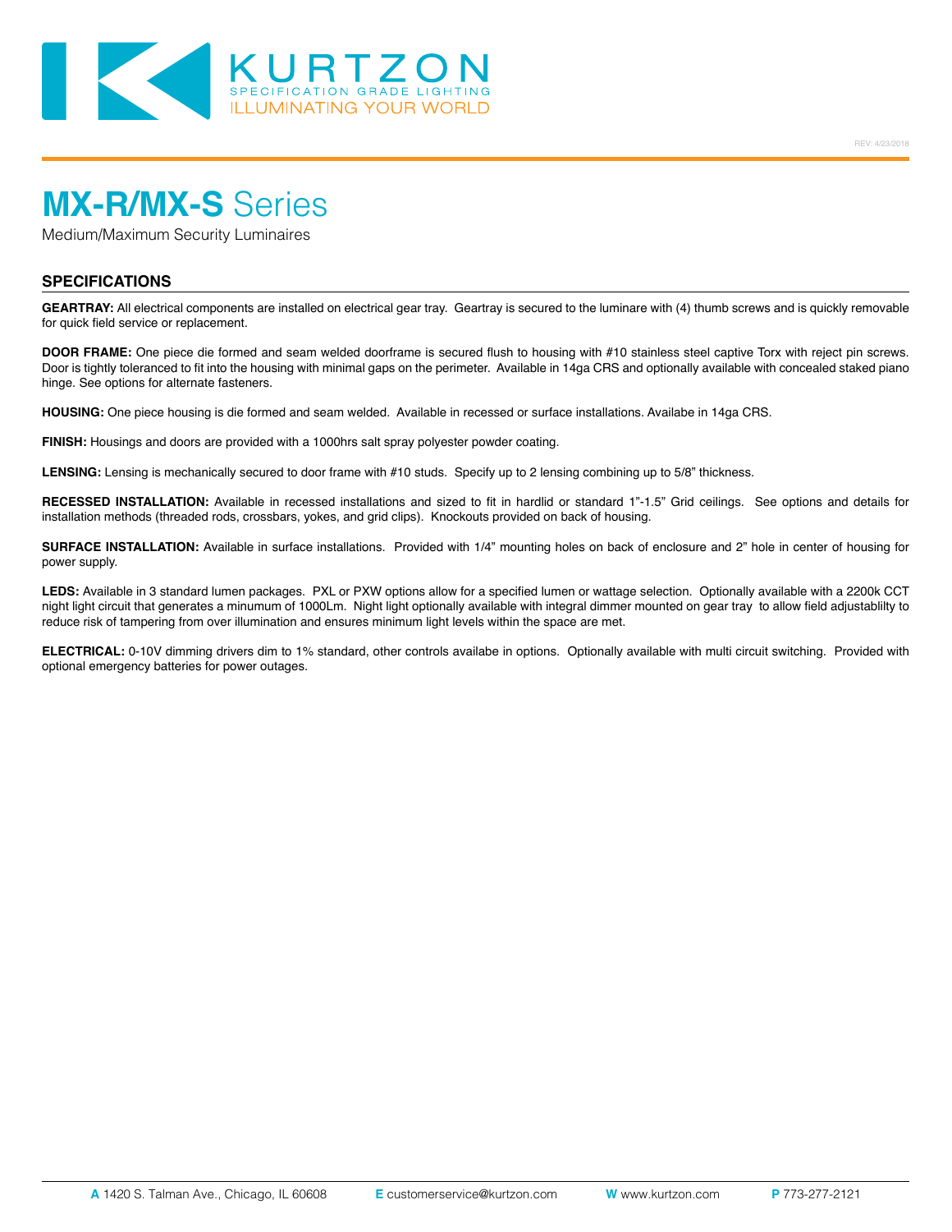

# **MX-R/MX-S** Series

Medium/Maximum Security Luminaires

#### **SPECIFICATIONS**

**GEARTRAY:** All electrical components are installed on electrical gear tray. Geartray is secured to the luminare with (4) thumb screws and is quickly removable for quick field service or replacement.

**DOOR FRAME:** One piece die formed and seam welded doorframe is secured flush to housing with #10 stainless steel captive Torx with reject pin screws. Door is tightly toleranced to fit into the housing with minimal gaps on the perimeter. Available in 14ga CRS and optionally available with concealed staked piano hinge. See options for alternate fasteners.

**HOUSING:** One piece housing is die formed and seam welded. Available in recessed or surface installations. Availabe in 14ga CRS.

**FINISH:** Housings and doors are provided with a 1000hrs salt spray polyester powder coating.

**LENSING:** Lensing is mechanically secured to door frame with #10 studs. Specify up to 2 lensing combining up to 5/8" thickness.

**RECESSED INSTALLATION:** Available in recessed installations and sized to fit in hardlid or standard 1"-1.5" Grid ceilings. See options and details for installation methods (threaded rods, crossbars, yokes, and grid clips). Knockouts provided on back of housing.

**SURFACE INSTALLATION:** Available in surface installations. Provided with 1/4" mounting holes on back of enclosure and 2" hole in center of housing for power supply.

**LEDS:** Available in 3 standard lumen packages. PXL or PXW options allow for a specified lumen or wattage selection. Optionally available with a 2200k CCT night light circuit that generates a minumum of 1000Lm. Night light optionally available with integral dimmer mounted on gear tray to allow field adjustablilty to reduce risk of tampering from over illumination and ensures minimum light levels within the space are met.

**ELECTRICAL:** 0-10V dimming drivers dim to 1% standard, other controls availabe in options. Optionally available with multi circuit switching. Provided with optional emergency batteries for power outages.